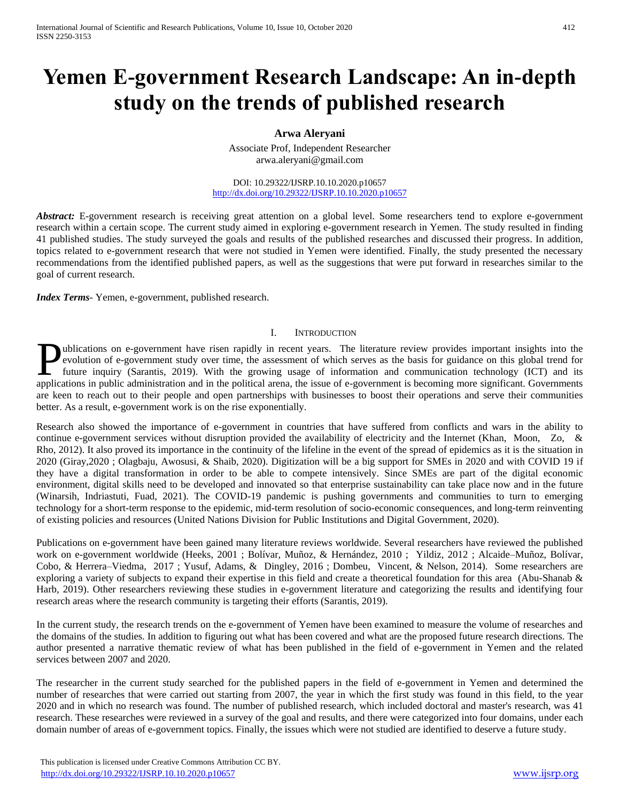# **Yemen E-government Research Landscape: An in-depth study on the trends of published research**

# **Arwa Aleryani**

Associate Prof, Independent Researcher arwa.aleryani@gmail.com

DOI: 10.29322/IJSRP.10.10.2020.p10657 <http://dx.doi.org/10.29322/IJSRP.10.10.2020.p10657>

*Abstract:* E-government research is receiving great attention on a global level. Some researchers tend to explore e-government research within a certain scope. The current study aimed in exploring e-government research in Yemen. The study resulted in finding 41 published studies. The study surveyed the goals and results of the published researches and discussed their progress. In addition, topics related to e-government research that were not studied in Yemen were identified. Finally, the study presented the necessary recommendations from the identified published papers, as well as the suggestions that were put forward in researches similar to the goal of current research.

*Index Terms*- Yemen, e-government, published research.

## I. INTRODUCTION

ublications on e-government have risen rapidly in recent years. The literature review provides important insights into the evolution of e-government study over time, the assessment of which serves as the basis for guidance on this global trend for future inquiry (Sarantis, 2019). With the growing usage of information and communication technology (ICT) and its **a**pplications on e-government have risen rapidly in recent years. The literature review provides important insights into the evolution of e-government study over time, the assessment of which serves as the basis for guida are keen to reach out to their people and open partnerships with businesses to boost their operations and serve their communities better. As a result, e-government work is on the rise exponentially.

Research also showed the importance of e-government in countries that have suffered from conflicts and wars in the ability to continue e-government services without disruption provided the availability of electricity and the Internet (Khan, Moon, Zo, & Rho, 2012). It also proved its importance in the continuity of the lifeline in the event of the spread of epidemics as it is the situation in 2020 (Giray,2020 ; Olagbaju, Awosusi, & Shaib, 2020). Digitization will be a big support for SMEs in 2020 and with COVID 19 if they have a digital transformation in order to be able to compete intensively. Since SMEs are part of the digital economic environment, digital skills need to be developed and innovated so that enterprise sustainability can take place now and in the future (Winarsih, Indriastuti, Fuad, 2021). The COVID-19 pandemic is pushing governments and communities to turn to emerging technology for a short-term response to the epidemic, mid-term resolution of socio-economic consequences, and long-term reinventing of existing policies and resources (United Nations Division for Public Institutions and Digital Government, 2020).

Publications on e-government have been gained many literature reviews worldwide. Several researchers have reviewed the published work on e-government worldwide (Heeks, 2001 ; Bolívar, Muñoz, & Hernández, 2010 ; Yildiz, 2012 ; Alcaide–Muñoz, Bolívar, Cobo, & Herrera–Viedma, 2017 ; Yusuf, Adams, & Dingley, 2016 ; Dombeu, Vincent, & Nelson, 2014). Some researchers are exploring a variety of subjects to expand their expertise in this field and create a theoretical foundation for this area (Abu-Shanab & Harb, 2019). Other researchers reviewing these studies in e-government literature and categorizing the results and identifying four research areas where the research community is targeting their efforts (Sarantis, 2019).

In the current study, the research trends on the e-government of Yemen have been examined to measure the volume of researches and the domains of the studies. In addition to figuring out what has been covered and what are the proposed future research directions. The author presented a narrative thematic review of what has been published in the field of e-government in Yemen and the related services between 2007 and 2020.

The researcher in the current study searched for the published papers in the field of e-government in Yemen and determined the number of researches that were carried out starting from 2007, the year in which the first study was found in this field, to the year 2020 and in which no research was found. The number of published research, which included doctoral and master's research, was 41 research. These researches were reviewed in a survey of the goal and results, and there were categorized into four domains, under each domain number of areas of e-government topics. Finally, the issues which were not studied are identified to deserve a future study.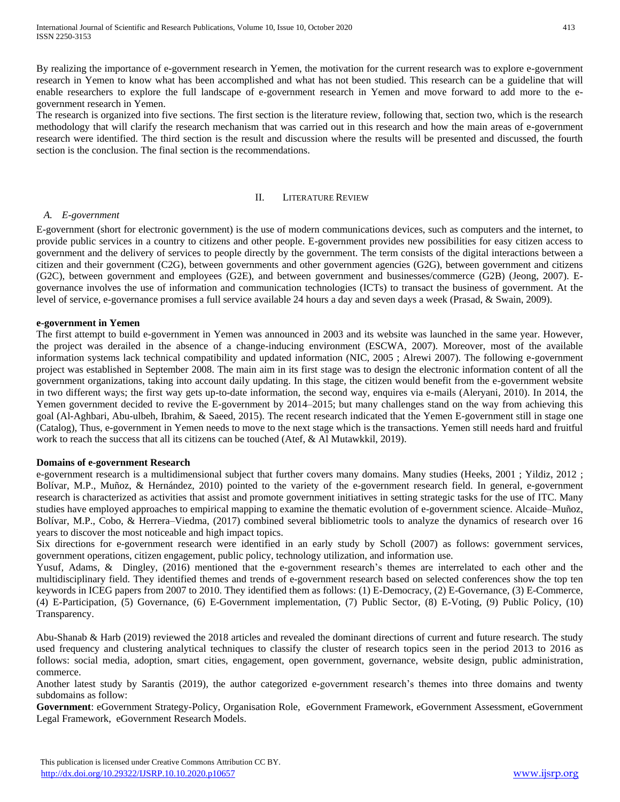By realizing the importance of e-government research in Yemen, the motivation for the current research was to explore e-government research in Yemen to know what has been accomplished and what has not been studied. This research can be a guideline that will enable researchers to explore the full landscape of e-government research in Yemen and move forward to add more to the egovernment research in Yemen.

The research is organized into five sections. The first section is the literature review, following that, section two, which is the research methodology that will clarify the research mechanism that was carried out in this research and how the main areas of e-government research were identified. The third section is the result and discussion where the results will be presented and discussed, the fourth section is the conclusion. The final section is the recommendations.

#### II. LITERATURE REVIEW

## *A. E-government*

E-government (short for electronic government) is the use of modern communications devices, such as computers and the internet, to provide public services in a country to citizens and other people. E-government provides new possibilities for easy citizen access to government and the delivery of services to people directly by the government. The term consists of the digital interactions between a citizen and their government (C2G), between governments and other government agencies (G2G), between government and citizens (G2C), between government and employees (G2E), and between government and businesses/commerce (G2B) (Jeong, 2007). Egovernance involves the use of information and communication technologies (ICTs) to transact the business of government. At the level of service, e-governance promises a full service available 24 hours a day and seven days a week (Prasad, & Swain, 2009).

#### **e-government in Yemen**

The first attempt to build e-government in Yemen was announced in 2003 and its website was launched in the same year. However, the project was derailed in the absence of a change-inducing environment (ESCWA, 2007). Moreover, most of the available information systems lack technical compatibility and updated information (NIC, 2005 ; Alrewi 2007). The following e-government project was established in September 2008. The main aim in its first stage was to design the electronic information content of all the government organizations, taking into account daily updating. In this stage, the citizen would benefit from the e-government website in two different ways; the first way gets up-to-date information, the second way, enquires via e-mails (Aleryani, 2010). In 2014, the Yemen government decided to revive the E-government by 2014–2015; but many challenges stand on the way from achieving this goal (Al-Aghbari, Abu-ulbeh, Ibrahim, & Saeed, 2015). The recent research indicated that the Yemen E-government still in stage one (Catalog), Thus, e-government in Yemen needs to move to the next stage which is the transactions. Yemen still needs hard and fruitful work to reach the success that all its citizens can be touched (Atef, & Al Mutawkkil, 2019).

#### **Domains of e-government Research**

e-government research is a multidimensional subject that further covers many domains. Many studies (Heeks, 2001 ; Yildiz, 2012 ; Bolívar, M.P., Muñoz, & Hernández, 2010) pointed to the variety of the e-government research field. In general, e-government research is characterized as activities that assist and promote government initiatives in setting strategic tasks for the use of ITC. Many studies have employed approaches to empirical mapping to examine the thematic evolution of e-government science. Alcaide–Muñoz, Bolívar, M.P., Cobo, & Herrera–Viedma, (2017) combined several bibliometric tools to analyze the dynamics of research over 16 years to discover the most noticeable and high impact topics.

Six directions for e-government research were identified in an early study by Scholl (2007) as follows: government services, government operations, citizen engagement, public policy, technology utilization, and information use.

Yusuf, Adams, & Dingley, (2016) mentioned that the e-government research's themes are interrelated to each other and the multidisciplinary field. They identified themes and trends of e-government research based on selected conferences show the top ten keywords in ICEG papers from 2007 to 2010. They identified them as follows: (1) E-Democracy, (2) E-Governance, (3) E-Commerce, (4) E-Participation, (5) Governance, (6) E-Government implementation, (7) Public Sector, (8) E-Voting, (9) Public Policy, (10) Transparency.

Abu-Shanab & Harb (2019) reviewed the 2018 articles and revealed the dominant directions of current and future research. The study used frequency and clustering analytical techniques to classify the cluster of research topics seen in the period 2013 to 2016 as follows: social media, adoption, smart cities, engagement, open government, governance, website design, public administration, commerce.

Another latest study by Sarantis (2019), the author categorized e-government research's themes into three domains and twenty subdomains as follow:

**Government**: eGovernment Strategy-Policy, Organisation Role, eGovernment Framework, eGovernment Assessment, eGovernment Legal Framework, eGovernment Research Models.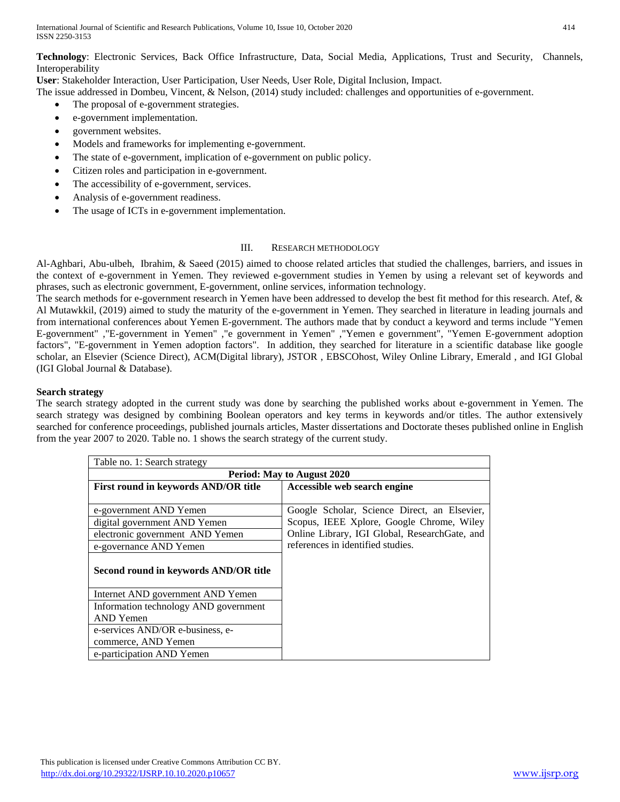International Journal of Scientific and Research Publications, Volume 10, Issue 10, October 2020 414 ISSN 2250-3153

**Technology**: Electronic Services, Back Office Infrastructure, Data, Social Media, Applications, Trust and Security, Channels, Interoperability

**User**: Stakeholder Interaction, User Participation, User Needs, User Role, Digital Inclusion, Impact.

The issue addressed in Dombeu, Vincent, & Nelson, (2014) study included: challenges and opportunities of e-government.

- The proposal of e-government strategies.
- e-government implementation.
- government websites.
- Models and frameworks for implementing e-government.
- The state of e-government, implication of e-government on public policy.
- Citizen roles and participation in e-government.
- The accessibility of e-government, services.
- Analysis of e-government readiness.
- The usage of ICTs in e-government implementation.

#### III. RESEARCH METHODOLOGY

Al-Aghbari, Abu-ulbeh, Ibrahim, & Saeed (2015) aimed to choose related articles that studied the challenges, barriers, and issues in the context of e-government in Yemen. They reviewed e-government studies in Yemen by using a relevant set of keywords and phrases, such as electronic government, E-government, online services, information technology.

The search methods for e-government research in Yemen have been addressed to develop the best fit method for this research. Atef, & Al Mutawkkil, (2019) aimed to study the maturity of the e-government in Yemen. They searched in literature in leading journals and from international conferences about Yemen E-government. The authors made that by conduct a keyword and terms include "Yemen E-government" ,"E-government in Yemen" ,"e government in Yemen" ,"Yemen e government", "Yemen E-government adoption factors", "E-government in Yemen adoption factors". In addition, they searched for literature in a scientific database like google scholar, an Elsevier (Science Direct), ACM(Digital library), JSTOR , EBSCOhost, Wiley Online Library, Emerald , and IGI Global (IGI Global Journal & Database).

#### **Search strategy**

The search strategy adopted in the current study was done by searching the published works about e-government in Yemen. The search strategy was designed by combining Boolean operators and key terms in keywords and/or titles. The author extensively searched for conference proceedings, published journals articles, Master dissertations and Doctorate theses published online in English from the year 2007 to 2020. Table no. 1 shows the search strategy of the current study.

| Table no. 1: Search strategy          |                                                |  |  |  |
|---------------------------------------|------------------------------------------------|--|--|--|
| <b>Period: May to August 2020</b>     |                                                |  |  |  |
| First round in keywords AND/OR title  | Accessible web search engine                   |  |  |  |
|                                       |                                                |  |  |  |
| e-government AND Yemen                | Google Scholar, Science Direct, an Elsevier,   |  |  |  |
| digital government AND Yemen          | Scopus, IEEE Xplore, Google Chrome, Wiley      |  |  |  |
| electronic government AND Yemen       | Online Library, IGI Global, Research Gate, and |  |  |  |
| e-governance AND Yemen                | references in identified studies.              |  |  |  |
| Second round in keywords AND/OR title |                                                |  |  |  |
| Internet AND government AND Yemen     |                                                |  |  |  |
| Information technology AND government |                                                |  |  |  |
| AND Yemen                             |                                                |  |  |  |
| e-services AND/OR e-business, e-      |                                                |  |  |  |
| commerce, AND Yemen                   |                                                |  |  |  |
| e-participation AND Yemen             |                                                |  |  |  |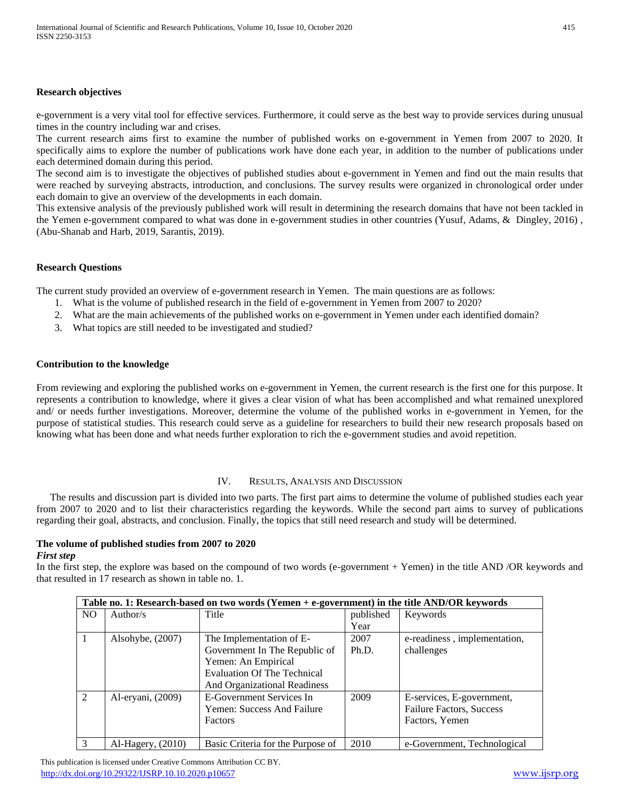## **Research objectives**

e-government is a very vital tool for effective services. Furthermore, it could serve as the best way to provide services during unusual times in the country including war and crises.

The current research aims first to examine the number of published works on e-government in Yemen from 2007 to 2020. It specifically aims to explore the number of publications work have done each year, in addition to the number of publications under each determined domain during this period.

The second aim is to investigate the objectives of published studies about e-government in Yemen and find out the main results that were reached by surveying abstracts, introduction, and conclusions. The survey results were organized in chronological order under each domain to give an overview of the developments in each domain.

This extensive analysis of the previously published work will result in determining the research domains that have not been tackled in the Yemen e-government compared to what was done in e-government studies in other countries (Yusuf, Adams, & Dingley, 2016) , (Abu-Shanab and Harb, 2019, Sarantis, 2019).

## **Research Questions**

The current study provided an overview of e-government research in Yemen. The main questions are as follows:

- 1. What is the volume of published research in the field of e-government in Yemen from 2007 to 2020?
- 2. What are the main achievements of the published works on e-government in Yemen under each identified domain?
- 3. What topics are still needed to be investigated and studied?

## **Contribution to the knowledge**

From reviewing and exploring the published works on e-government in Yemen, the current research is the first one for this purpose. It represents a contribution to knowledge, where it gives a clear vision of what has been accomplished and what remained unexplored and/ or needs further investigations. Moreover, determine the volume of the published works in e-government in Yemen, for the purpose of statistical studies. This research could serve as a guideline for researchers to build their new research proposals based on knowing what has been done and what needs further exploration to rich the e-government studies and avoid repetition.

#### IV. RESULTS, ANALYSIS AND DISCUSSION

The results and discussion part is divided into two parts. The first part aims to determine the volume of published studies each year from 2007 to 2020 and to list their characteristics regarding the keywords. While the second part aims to survey of publications regarding their goal, abstracts, and conclusion. Finally, the topics that still need research and study will be determined.

#### **The volume of published studies from 2007 to 2020** *First step*

In the first step, the explore was based on the compound of two words (e-government + Yemen) in the title AND /OR keywords and that resulted in 17 research as shown in table no. 1.

| Table no. 1: Research-based on two words (Yemen + e-government) in the title AND/OR keywords |                     |                                   |           |                                 |  |
|----------------------------------------------------------------------------------------------|---------------------|-----------------------------------|-----------|---------------------------------|--|
| NO.                                                                                          | Author/s            | Title                             | published | Keywords                        |  |
|                                                                                              |                     |                                   | Year      |                                 |  |
|                                                                                              | Alsohybe, $(2007)$  | The Implementation of E-          | 2007      | e-readiness, implementation,    |  |
|                                                                                              |                     | Government In The Republic of     | Ph.D.     | challenges                      |  |
|                                                                                              |                     | Yemen: An Empirical               |           |                                 |  |
|                                                                                              |                     | Evaluation Of The Technical       |           |                                 |  |
|                                                                                              |                     | And Organizational Readiness      |           |                                 |  |
| $\mathcal{D}$                                                                                | Al-eryani, (2009)   | E-Government Services In          | 2009      | E-services, E-government,       |  |
|                                                                                              |                     | <b>Yemen: Success And Failure</b> |           | <b>Failure Factors, Success</b> |  |
|                                                                                              |                     | <b>Factors</b>                    |           | Factors, Yemen                  |  |
|                                                                                              |                     |                                   |           |                                 |  |
| 3                                                                                            | $Al-Hagery, (2010)$ | Basic Criteria for the Purpose of | 2010      | e-Government, Technological     |  |

 This publication is licensed under Creative Commons Attribution CC BY. <http://dx.doi.org/10.29322/IJSRP.10.10.2020.p10657> [www.ijsrp.org](http://ijsrp.org/)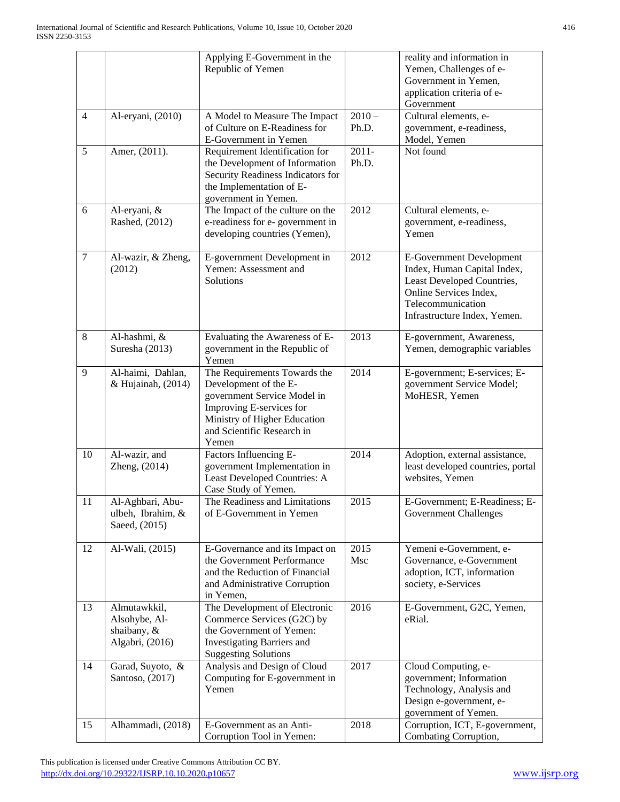|                |                                                                 | Applying E-Government in the<br>Republic of Yemen                                                                                                                                       |                   | reality and information in<br>Yemen, Challenges of e-<br>Government in Yemen,<br>application criteria of e-<br>Government                                                   |  |  |
|----------------|-----------------------------------------------------------------|-----------------------------------------------------------------------------------------------------------------------------------------------------------------------------------------|-------------------|-----------------------------------------------------------------------------------------------------------------------------------------------------------------------------|--|--|
| $\overline{4}$ | Al-eryani, (2010)                                               | A Model to Measure The Impact<br>of Culture on E-Readiness for<br>E-Government in Yemen                                                                                                 | $2010 -$<br>Ph.D. | Cultural elements, e-<br>government, e-readiness,<br>Model, Yemen                                                                                                           |  |  |
| 5              | Amer, (2011).                                                   | Requirement Identification for<br>the Development of Information<br>Security Readiness Indicators for<br>the Implementation of E-<br>government in Yemen.                               | $2011 -$<br>Ph.D. | Not found                                                                                                                                                                   |  |  |
| 6              | Al-eryani, &<br>Rashed, (2012)                                  | The Impact of the culture on the<br>e-readiness for e- government in<br>developing countries (Yemen),                                                                                   | 2012              | Cultural elements, e-<br>government, e-readiness,<br>Yemen                                                                                                                  |  |  |
| $\overline{7}$ | Al-wazir, & Zheng,<br>(2012)                                    | E-government Development in<br>Yemen: Assessment and<br>Solutions                                                                                                                       | 2012              | <b>E-Government Development</b><br>Index, Human Capital Index,<br>Least Developed Countries,<br>Online Services Index,<br>Telecommunication<br>Infrastructure Index, Yemen. |  |  |
| $8\,$          | Al-hashmi, &<br>Suresha (2013)                                  | Evaluating the Awareness of E-<br>government in the Republic of<br>Yemen                                                                                                                | 2013              | E-government, Awareness,<br>Yemen, demographic variables                                                                                                                    |  |  |
| 9              | Al-haimi, Dahlan,<br>& Hujainah, (2014)                         | The Requirements Towards the<br>Development of the E-<br>government Service Model in<br>Improving E-services for<br>Ministry of Higher Education<br>and Scientific Research in<br>Yemen | 2014              | E-government; E-services; E-<br>government Service Model;<br>MoHESR, Yemen                                                                                                  |  |  |
| 10             | Al-wazir, and<br>Zheng, (2014)                                  | Factors Influencing E-<br>government Implementation in<br>Least Developed Countries: A<br>Case Study of Yemen.                                                                          | 2014              | Adoption, external assistance,<br>least developed countries, portal<br>websites, Yemen                                                                                      |  |  |
| 11             | Al-Aghbari, Abu-<br>ulbeh, Ibrahim, &<br>Saeed, (2015)          | The Readiness and Limitations<br>of E-Government in Yemen                                                                                                                               | 2015              | E-Government; E-Readiness; E-<br><b>Government Challenges</b>                                                                                                               |  |  |
| 12             | Al-Wali, $(2015)$                                               | E-Governance and its Impact on<br>the Government Performance<br>and the Reduction of Financial<br>and Administrative Corruption<br>in Yemen,                                            | 2015<br>Msc       | Yemeni e-Government, e-<br>Governance, e-Government<br>adoption, ICT, information<br>society, e-Services                                                                    |  |  |
| 13             | Almutawkkil,<br>Alsohybe, Al-<br>shaibany, &<br>Algabri, (2016) | The Development of Electronic<br>Commerce Services (G2C) by<br>the Government of Yemen:<br><b>Investigating Barriers and</b><br><b>Suggesting Solutions</b>                             | 2016              | E-Government, G2C, Yemen,<br>eRial.                                                                                                                                         |  |  |
| 14             | Garad, Suyoto, &<br>Santoso, (2017)                             | Analysis and Design of Cloud<br>Computing for E-government in<br>Yemen                                                                                                                  | 2017              | Cloud Computing, e-<br>government; Information<br>Technology, Analysis and<br>Design e-government, e-<br>government of Yemen.                                               |  |  |
| 15             | Alhammadi, (2018)                                               | E-Government as an Anti-<br>Corruption Tool in Yemen:                                                                                                                                   | 2018              | Corruption, ICT, E-government,<br>Combating Corruption,                                                                                                                     |  |  |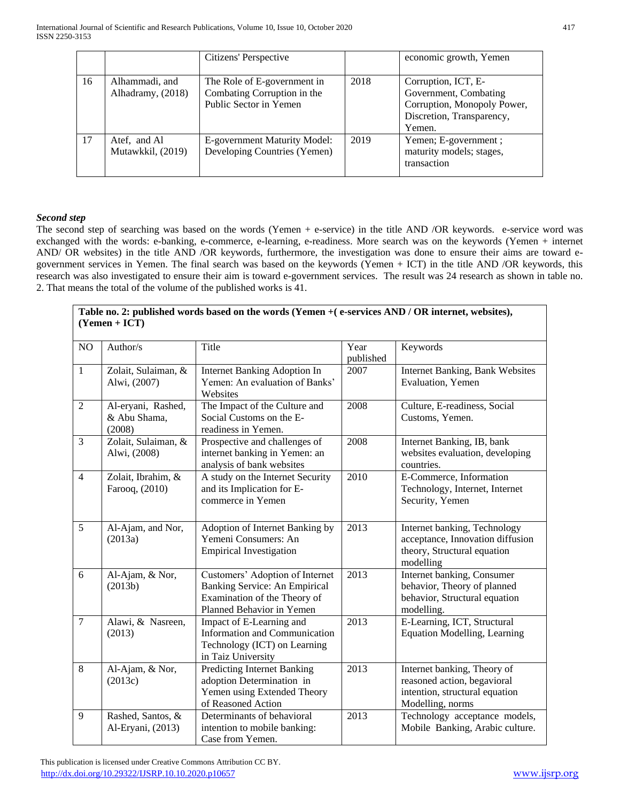|    |                                     | Citizens' Perspective                                                                |      | economic growth, Yemen                                                                                             |
|----|-------------------------------------|--------------------------------------------------------------------------------------|------|--------------------------------------------------------------------------------------------------------------------|
| 16 | Alhammadi, and<br>Alhadramy, (2018) | The Role of E-government in<br>Combating Corruption in the<br>Public Sector in Yemen | 2018 | Corruption, ICT, E-<br>Government, Combating<br>Corruption, Monopoly Power,<br>Discretion, Transparency,<br>Yemen. |
| 17 | Atef, and Al<br>Mutawkkil, (2019)   | E-government Maturity Model:<br>Developing Countries (Yemen)                         | 2019 | Yemen; E-government;<br>maturity models; stages,<br>transaction                                                    |

# *Second step*

The second step of searching was based on the words (Yemen + e-service) in the title AND /OR keywords. e-service word was exchanged with the words: e-banking, e-commerce, e-learning, e-readiness. More search was on the keywords (Yemen + internet AND/ OR websites) in the title AND /OR keywords, furthermore, the investigation was done to ensure their aims are toward egovernment services in Yemen. The final search was based on the keywords (Yemen + ICT) in the title AND /OR keywords, this research was also investigated to ensure their aim is toward e-government services. The result was 24 research as shown in table no. 2. That means the total of the volume of the published works is 41.

|                | $(Yemen + ICT)$                              | Table no. 2: published words based on the words (Yemen + (e-services AND / OR internet, websites),                            |                   |                                                                                                                  |  |  |
|----------------|----------------------------------------------|-------------------------------------------------------------------------------------------------------------------------------|-------------------|------------------------------------------------------------------------------------------------------------------|--|--|
| NO             | Author/s                                     | Title                                                                                                                         | Year<br>published | Keywords                                                                                                         |  |  |
| $\mathbf{1}$   | Zolait, Sulaiman, &<br>Alwi, (2007)          | <b>Internet Banking Adoption In</b><br>Yemen: An evaluation of Banks'<br>Websites                                             | 2007              | <b>Internet Banking, Bank Websites</b><br>Evaluation, Yemen                                                      |  |  |
| $\overline{2}$ | Al-eryani, Rashed,<br>& Abu Shama,<br>(2008) | The Impact of the Culture and<br>Social Customs on the E-<br>readiness in Yemen.                                              | 2008              | Culture, E-readiness, Social<br>Customs, Yemen.                                                                  |  |  |
| 3              | Zolait, Sulaiman, &<br>Alwi, (2008)          | Prospective and challenges of<br>internet banking in Yemen: an<br>analysis of bank websites                                   | 2008              | Internet Banking, IB, bank<br>websites evaluation, developing<br>countries.                                      |  |  |
| $\overline{4}$ | Zolait, Ibrahim, &<br>Farooq, (2010)         | A study on the Internet Security<br>and its Implication for E-<br>commerce in Yemen                                           | 2010              | E-Commerce, Information<br>Technology, Internet, Internet<br>Security, Yemen                                     |  |  |
| 5              | Al-Ajam, and Nor,<br>(2013a)                 | Adoption of Internet Banking by<br>Yemeni Consumers: An<br><b>Empirical Investigation</b>                                     | 2013              | Internet banking, Technology<br>acceptance, Innovation diffusion<br>theory, Structural equation<br>modelling     |  |  |
| 6              | Al-Ajam, & Nor,<br>(2013b)                   | Customers' Adoption of Internet<br>Banking Service: An Empirical<br>Examination of the Theory of<br>Planned Behavior in Yemen | 2013              | Internet banking, Consumer<br>behavior, Theory of planned<br>behavior, Structural equation<br>modelling.         |  |  |
| $\overline{7}$ | Alawi, & Nasreen,<br>(2013)                  | Impact of E-Learning and<br>Information and Communication<br>Technology (ICT) on Learning<br>in Taiz University               | 2013              | E-Learning, ICT, Structural<br><b>Equation Modelling, Learning</b>                                               |  |  |
| 8              | Al-Ajam, & Nor,<br>(2013c)                   | <b>Predicting Internet Banking</b><br>adoption Determination in<br>Yemen using Extended Theory<br>of Reasoned Action          | 2013              | Internet banking, Theory of<br>reasoned action, begavioral<br>intention, structural equation<br>Modelling, norms |  |  |
| 9              | Rashed, Santos, &<br>Al-Eryani, (2013)       | Determinants of behavioral<br>intention to mobile banking:<br>Case from Yemen.                                                | 2013              | Technology acceptance models,<br>Mobile Banking, Arabic culture.                                                 |  |  |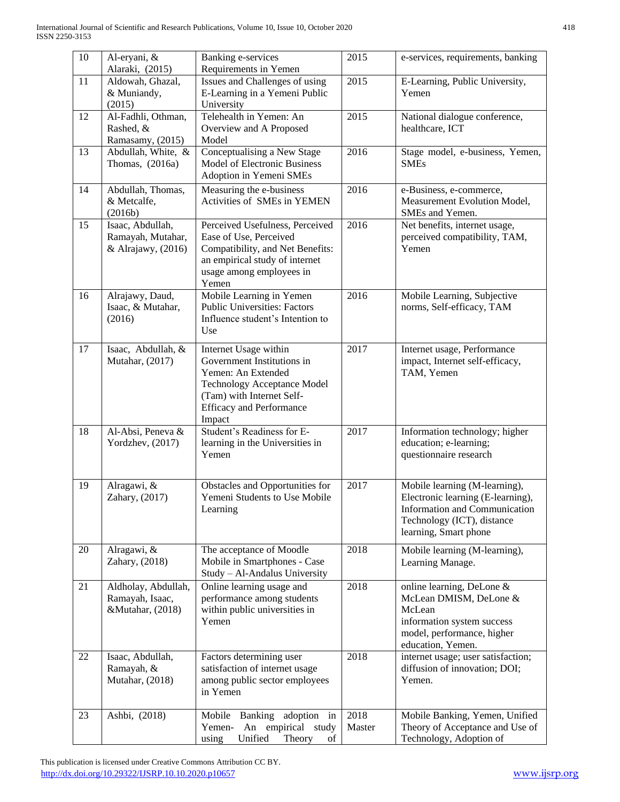| $10\,$ | Al-eryani, &<br>Alaraki, (2015)                             | Banking e-services<br>Requirements in Yemen                                                                                                                                               | 2015           | e-services, requirements, banking                                                                                                                                 |  |  |
|--------|-------------------------------------------------------------|-------------------------------------------------------------------------------------------------------------------------------------------------------------------------------------------|----------------|-------------------------------------------------------------------------------------------------------------------------------------------------------------------|--|--|
| 11     | Aldowah, Ghazal,<br>& Muniandy,<br>(2015)                   | Issues and Challenges of using<br>E-Learning in a Yemeni Public<br>University                                                                                                             | 2015           | E-Learning, Public University,<br>Yemen                                                                                                                           |  |  |
| 12     | Al-Fadhli, Othman,<br>Rashed, &<br>Ramasamy, (2015)         | Telehealth in Yemen: An<br>Overview and A Proposed<br>Model                                                                                                                               | 2015           | National dialogue conference,<br>healthcare, ICT                                                                                                                  |  |  |
| 13     | Abdullah, White, &<br>Thomas, (2016a)                       | Conceptualising a New Stage<br>Model of Electronic Business<br>Adoption in Yemeni SMEs                                                                                                    | 2016           | Stage model, e-business, Yemen,<br><b>SMEs</b>                                                                                                                    |  |  |
| 14     | Abdullah, Thomas,<br>& Metcalfe,<br>(2016b)                 | Measuring the e-business<br>Activities of SMEs in YEMEN                                                                                                                                   | 2016           | e-Business, e-commerce,<br>Measurement Evolution Model,<br>SMEs and Yemen.                                                                                        |  |  |
| 15     | Isaac, Abdullah,<br>Ramayah, Mutahar,<br>& Alrajawy, (2016) | Perceived Usefulness, Perceived<br>Ease of Use, Perceived<br>Compatibility, and Net Benefits:<br>an empirical study of internet<br>usage among employees in<br>Yemen                      | 2016           | Net benefits, internet usage,<br>perceived compatibility, TAM,<br>Yemen                                                                                           |  |  |
| 16     | Alrajawy, Daud,<br>Isaac, & Mutahar,<br>(2016)              | Mobile Learning in Yemen<br><b>Public Universities: Factors</b><br>Influence student's Intention to<br>Use                                                                                | 2016           | Mobile Learning, Subjective<br>norms, Self-efficacy, TAM                                                                                                          |  |  |
| 17     | Isaac, Abdullah, &<br>Mutahar, (2017)                       | Internet Usage within<br>Government Institutions in<br>Yemen: An Extended<br><b>Technology Acceptance Model</b><br>(Tam) with Internet Self-<br><b>Efficacy and Performance</b><br>Impact | 2017           | Internet usage, Performance<br>impact, Internet self-efficacy,<br>TAM, Yemen                                                                                      |  |  |
| 18     | Al-Absi, Peneva &<br>Yordzhev, (2017)                       | Student's Readiness for E-<br>learning in the Universities in<br>Yemen                                                                                                                    | 2017           | Information technology; higher<br>education; e-learning;<br>questionnaire research                                                                                |  |  |
| 19     | Alragawi, &<br>Zahary, (2017)                               | Obstacles and Opportunities for<br>Yemeni Students to Use Mobile<br>Learning                                                                                                              | 2017           | Mobile learning (M-learning),<br>Electronic learning (E-learning),<br><b>Information and Communication</b><br>Technology (ICT), distance<br>learning, Smart phone |  |  |
| 20     | Alragawi, &<br>Zahary, (2018)                               | The acceptance of Moodle<br>Mobile in Smartphones - Case<br>Study - Al-Andalus University                                                                                                 | 2018           | Mobile learning (M-learning),<br>Learning Manage.                                                                                                                 |  |  |
| 21     | Aldholay, Abdullah,<br>Ramayah, Isaac,<br>&Mutahar, (2018)  | Online learning usage and<br>performance among students<br>within public universities in<br>Yemen                                                                                         | 2018           | online learning, DeLone &<br>McLean DMISM, DeLone &<br>McLean<br>information system success<br>model, performance, higher<br>education, Yemen.                    |  |  |
| 22     | Isaac, Abdullah,<br>Ramayah, &<br>Mutahar, (2018)           | Factors determining user<br>satisfaction of internet usage<br>among public sector employees<br>in Yemen                                                                                   | 2018           | internet usage; user satisfaction;<br>diffusion of innovation; DOI;<br>Yemen.                                                                                     |  |  |
| 23     | Ashbi, (2018)                                               | Mobile Banking adoption in<br>empirical study<br>Yemen-<br>An<br>using<br>Unified<br>Theory<br>of                                                                                         | 2018<br>Master | Mobile Banking, Yemen, Unified<br>Theory of Acceptance and Use of<br>Technology, Adoption of                                                                      |  |  |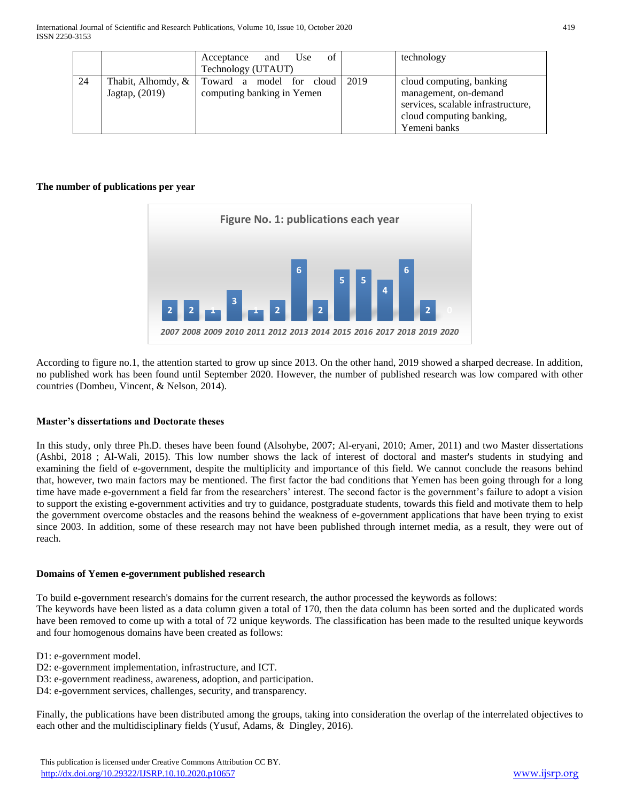|    |                    | οf<br>Use<br>and<br>Acceptance |      | technology                         |
|----|--------------------|--------------------------------|------|------------------------------------|
|    |                    | Technology (UTAUT)             |      |                                    |
| 24 | Thabit, Alhomdy, & | Toward a model for cloud       | 2019 | cloud computing, banking           |
|    | Jagtap, (2019)     | computing banking in Yemen     |      | management, on-demand              |
|    |                    |                                |      | services, scalable infrastructure, |
|    |                    |                                |      | cloud computing banking,           |
|    |                    |                                |      | Yemeni banks                       |

## **The number of publications per year**



According to figure no.1, the attention started to grow up since 2013. On the other hand, 2019 showed a sharped decrease. In addition, no published work has been found until September 2020. However, the number of published research was low compared with other countries (Dombeu, Vincent, & Nelson, 2014).

## **Master's dissertations and Doctorate theses**

In this study, only three Ph.D. theses have been found (Alsohybe, 2007; Al-eryani, 2010; Amer, 2011) and two Master dissertations (Ashbi, 2018 ; Al-Wali, 2015). This low number shows the lack of interest of doctoral and master's students in studying and examining the field of e-government, despite the multiplicity and importance of this field. We cannot conclude the reasons behind that, however, two main factors may be mentioned. The first factor the bad conditions that Yemen has been going through for a long time have made e-government a field far from the researchers' interest. The second factor is the government's failure to adopt a vision to support the existing e-government activities and try to guidance, postgraduate students, towards this field and motivate them to help the government overcome obstacles and the reasons behind the weakness of e-government applications that have been trying to exist since 2003. In addition, some of these research may not have been published through internet media, as a result, they were out of reach.

## **Domains of Yemen e-government published research**

To build e-government research's domains for the current research, the author processed the keywords as follows:

The keywords have been listed as a data column given a total of 170, then the data column has been sorted and the duplicated words have been removed to come up with a total of 72 unique keywords. The classification has been made to the resulted unique keywords and four homogenous domains have been created as follows:

D1: e-government model.

- D2: e-government implementation, infrastructure, and ICT.
- D3: e-government readiness, awareness, adoption, and participation.
- D4: e-government services, challenges, security, and transparency.

Finally, the publications have been distributed among the groups, taking into consideration the overlap of the interrelated objectives to each other and the multidisciplinary fields (Yusuf, Adams, & Dingley, 2016).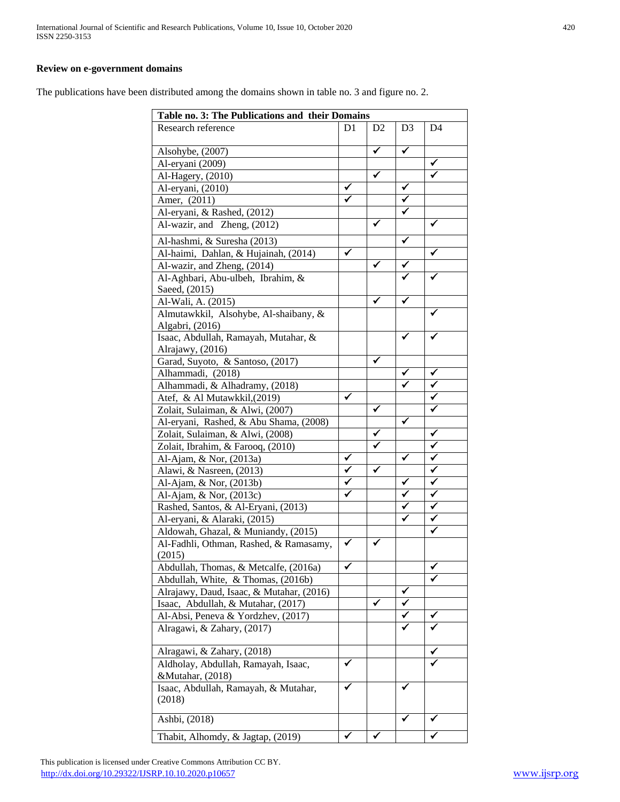#### **Review on e-government domains**

The publications have been distributed among the domains shown in table no. 3 and figure no. 2.

| Table no. 3: The Publications and their Domains |    |    |                |    |
|-------------------------------------------------|----|----|----------------|----|
| Research reference                              | D1 | D2 | D <sub>3</sub> | D4 |
| Alsohybe, (2007)                                |    | ✓  | $\checkmark$   |    |
| Al-eryani (2009)                                |    |    |                | ✔  |
| Al-Hagery, (2010)                               |    | ✓  |                |    |
| Al-eryani, (2010)                               | ✔  |    | $\checkmark$   |    |
| Amer, (2011)                                    |    |    | ✓              |    |
| Al-eryani, & Rashed, (2012)                     |    |    |                |    |
| Al-wazir, and Zheng, (2012)                     |    |    |                |    |
| Al-hashmi, & Suresha (2013)                     |    |    | ✓              |    |
| Al-haimi, Dahlan, & Hujainah, (2014)            | ✓  |    |                |    |
| Al-wazir, and Zheng, (2014)                     |    | ✔  |                |    |
| Al-Aghbari, Abu-ulbeh, Ibrahim, &               |    |    |                |    |
| Saeed, (2015)                                   |    |    |                |    |
| Al-Wali, A. (2015)                              |    |    |                |    |
| Almutawkkil, Alsohybe, Al-shaibany, &           |    |    |                |    |
| Algabri, (2016)                                 |    |    |                |    |
| Isaac, Abdullah, Ramayah, Mutahar, &            |    |    |                |    |
| Alrajawy, (2016)                                |    |    |                |    |
| Garad, Suyoto, & Santoso, (2017)                |    | ✓  |                |    |
| Alhammadi, (2018)                               |    |    |                | ✔  |
| Alhammadi, & Alhadramy, (2018)                  |    |    |                |    |
| Atef, & Al Mutawkkil, (2019)                    | ✔  |    |                |    |
| Zolait, Sulaiman, & Alwi, (2007)                |    | ✔  |                |    |
| Al-eryani, Rashed, & Abu Shama, (2008)          |    |    | ✓              |    |
| Zolait, Sulaiman, & Alwi, (2008)                |    | ✓  |                | ✓  |
| Zolait, Ibrahim, & Farooq, (2010)               |    | ✓  |                | ✓  |
| Al-Ajam, & Nor, (2013a)                         | ✔  |    | ✔              | ✓  |
| Alawi, & Nasreen, (2013)                        | ✔  | ✓  |                | ✓  |
| Al-Ajam, & Nor, (2013b)                         | ✓  |    | ✔              | ✓  |
| Al-Ajam, & Nor, (2013c)                         | ✔  |    | ✔              | ✓  |
| Rashed, Santos, & Al-Eryani, (2013)             |    |    |                | ✓  |
| Al-eryani, & Alaraki, (2015)                    |    |    | ✔              | ✔  |
| Aldowah, Ghazal, & Muniandy, (2015)             |    |    |                |    |
| Al-Fadhli, Othman, Rashed, & Ramasamy,          |    |    |                |    |
| (2015)<br>Abdullah, Thomas, & Metcalfe, (2016a) | ✓  |    |                |    |
| Abdullah, White, & Thomas, (2016b)              |    |    |                |    |
| Alrajawy, Daud, Isaac, & Mutahar, (2016)        |    |    |                |    |
| Isaac, Abdullah, & Mutahar, (2017)              |    | ✓  |                |    |
| Al-Absi, Peneva & Yordzhev, (2017)              |    |    |                |    |
| Alragawi, & Zahary, (2017)                      |    |    |                |    |
| Alragawi, & Zahary, (2018)                      |    |    |                |    |
| Aldholay, Abdullah, Ramayah, Isaac,             | ✓  |    |                |    |
| &Mutahar, (2018)                                |    |    |                |    |
| Isaac, Abdullah, Ramayah, & Mutahar,            | ✔  |    | ✔              |    |
| (2018)                                          |    |    |                |    |
| Ashbi, (2018)                                   |    |    |                |    |
| Thabit, Alhomdy, & Jagtap, (2019)               | ✔  |    |                |    |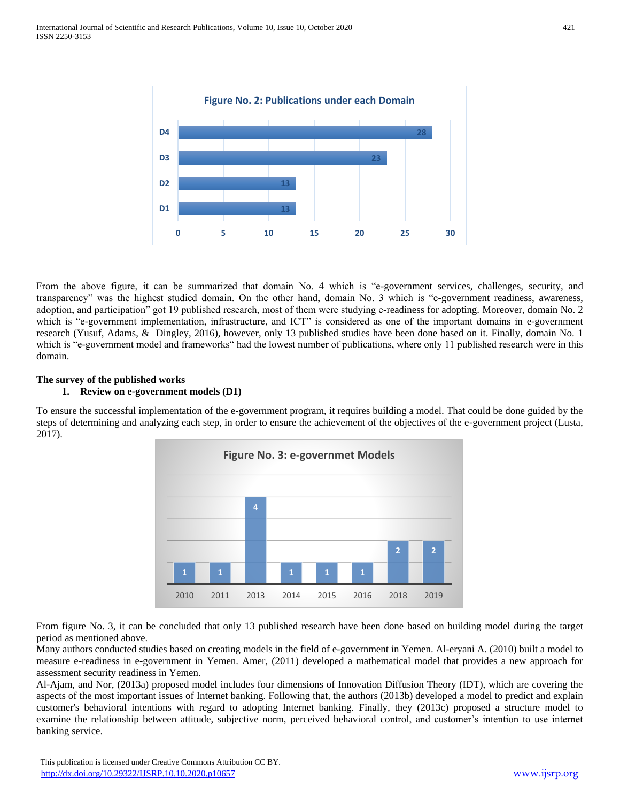

From the above figure, it can be summarized that domain No. 4 which is "e-government services, challenges, security, and transparency" was the highest studied domain. On the other hand, domain No. 3 which is "e-government readiness, awareness, adoption, and participation" got 19 published research, most of them were studying e-readiness for adopting. Moreover, domain No. 2 which is "e-government implementation, infrastructure, and ICT" is considered as one of the important domains in e-government research (Yusuf, Adams, & Dingley, 2016), however, only 13 published studies have been done based on it. Finally, domain No. 1 which is "e-government model and frameworks" had the lowest number of publications, where only 11 published research were in this domain.

## **The survey of the published works**

## **1. Review on e-government models (D1)**

To ensure the successful implementation of the e-government program, it requires building a model. That could be done guided by the steps of determining and analyzing each step, in order to ensure the achievement of the objectives of the e-government project (Lusta, 2017).



From figure No. 3, it can be concluded that only 13 published research have been done based on building model during the target period as mentioned above.

Many authors conducted studies based on creating models in the field of e-government in Yemen. Al-eryani A. (2010) built a model to measure e-readiness in e-government in Yemen. Amer, (2011) developed a mathematical model that provides a new approach for assessment security readiness in Yemen.

Al-Ajam, and Nor, (2013a) proposed model includes four dimensions of Innovation Diffusion Theory (IDT), which are covering the aspects of the most important issues of Internet banking. Following that, the authors (2013b) developed a model to predict and explain customer's behavioral intentions with regard to adopting Internet banking. Finally, they (2013c) proposed a structure model to examine the relationship between attitude, subjective norm, perceived behavioral control, and customer's intention to use internet banking service.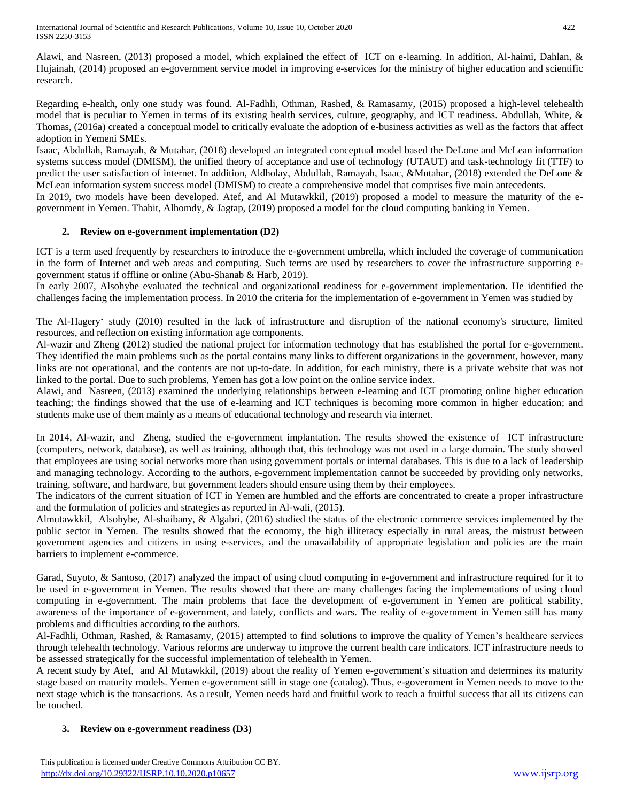International Journal of Scientific and Research Publications, Volume 10, Issue 10, October 2020 422 ISSN 2250-3153

Alawi, and Nasreen, (2013) proposed a model, which explained the effect of ICT on e-learning. In addition, Al-haimi, Dahlan, & Hujainah, (2014) proposed an e-government service model in improving e-services for the ministry of higher education and scientific research.

Regarding e-health, only one study was found. Al-Fadhli, Othman, Rashed, & Ramasamy, (2015) proposed a high-level telehealth model that is peculiar to Yemen in terms of its existing health services, culture, geography, and ICT readiness. Abdullah, White, & Thomas, (2016a) created a conceptual model to critically evaluate the adoption of e-business activities as well as the factors that affect adoption in Yemeni SMEs.

Isaac, Abdullah, Ramayah, & Mutahar, (2018) developed an integrated conceptual model based the DeLone and McLean information systems success model (DMISM), the unified theory of acceptance and use of technology (UTAUT) and task-technology fit (TTF) to predict the user satisfaction of internet. In addition, Aldholay, Abdullah, Ramayah, Isaac, &Mutahar, (2018) extended the DeLone & McLean information system success model (DMISM) to create a comprehensive model that comprises five main antecedents.

In 2019, two models have been developed. Atef, and Al Mutawkkil, (2019) proposed a model to measure the maturity of the egovernment in Yemen. Thabit, Alhomdy, & Jagtap, (2019) proposed a model for the cloud computing banking in Yemen.

## **2. Review on e-government implementation (D2)**

ICT is a term used frequently by researchers to introduce the e-government umbrella, which included the coverage of communication in the form of Internet and web areas and computing. Such terms are used by researchers to cover the infrastructure supporting egovernment status if offline or online (Abu-Shanab & Harb, 2019).

In early 2007, Alsohybe evaluated the technical and organizational readiness for e-government implementation. He identified the challenges facing the implementation process. In 2010 the criteria for the implementation of e-government in Yemen was studied by

The Al-Hagery' study (2010) resulted in the lack of infrastructure and disruption of the national economy's structure, limited resources, and reflection on existing information age components.

Al-wazir and Zheng (2012) studied the national project for information technology that has established the portal for e-government. They identified the main problems such as the portal contains many links to different organizations in the government, however, many links are not operational, and the contents are not up-to-date. In addition, for each ministry, there is a private website that was not linked to the portal. Due to such problems, Yemen has got a low point on the online service index.

Alawi, and Nasreen, (2013) examined the underlying relationships between e-learning and ICT promoting online higher education teaching; the findings showed that the use of e-learning and ICT techniques is becoming more common in higher education; and students make use of them mainly as a means of educational technology and research via internet.

In 2014, Al-wazir, and Zheng, studied the e-government implantation. The results showed the existence of ICT infrastructure (computers, network, database), as well as training, although that, this technology was not used in a large domain. The study showed that employees are using social networks more than using government portals or internal databases. This is due to a lack of leadership and managing technology. According to the authors, e-government implementation cannot be succeeded by providing only networks, training, software, and hardware, but government leaders should ensure using them by their employees.

The indicators of the current situation of ICT in Yemen are humbled and the efforts are concentrated to create a proper infrastructure and the formulation of policies and strategies as reported in Al-wali, (2015).

Almutawkkil, Alsohybe, Al-shaibany, & Algabri, (2016) studied the status of the electronic commerce services implemented by the public sector in Yemen. The results showed that the economy, the high illiteracy especially in rural areas, the mistrust between government agencies and citizens in using e-services, and the unavailability of appropriate legislation and policies are the main barriers to implement e-commerce.

Garad, Suyoto, & Santoso, (2017) analyzed the impact of using cloud computing in e-government and infrastructure required for it to be used in e-government in Yemen. The results showed that there are many challenges facing the implementations of using cloud computing in e-government. The main problems that face the development of e-government in Yemen are political stability, awareness of the importance of e-government, and lately, conflicts and wars. The reality of e-government in Yemen still has many problems and difficulties according to the authors.

Al-Fadhli, Othman, Rashed, & Ramasamy, (2015) attempted to find solutions to improve the quality of Yemen's healthcare services through telehealth technology. Various reforms are underway to improve the current health care indicators. ICT infrastructure needs to be assessed strategically for the successful implementation of telehealth in Yemen.

A recent study by Atef, and Al Mutawkkil, (2019) about the reality of Yemen e-government's situation and determines its maturity stage based on maturity models. Yemen e-government still in stage one (catalog). Thus, e-government in Yemen needs to move to the next stage which is the transactions. As a result, Yemen needs hard and fruitful work to reach a fruitful success that all its citizens can be touched.

## **3. Review on e-government readiness (D3)**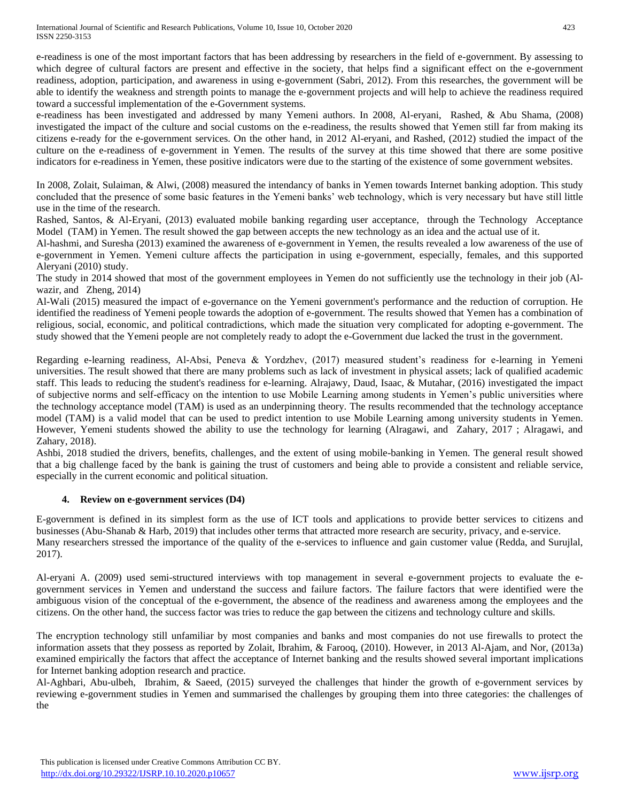e-readiness is one of the most important factors that has been addressing by researchers in the field of e-government. By assessing to which degree of cultural factors are present and effective in the society, that helps find a significant effect on the e-government readiness, adoption, participation, and awareness in using e-government (Sabri, 2012). From this researches, the government will be able to identify the weakness and strength points to manage the e-government projects and will help to achieve the readiness required toward a successful implementation of the e-Government systems.

e-readiness has been investigated and addressed by many Yemeni authors. In 2008, Al-eryani, Rashed, & Abu Shama, (2008) investigated the impact of the culture and social customs on the e-readiness, the results showed that Yemen still far from making its citizens e-ready for the e-government services. On the other hand, in 2012 Al-eryani, and Rashed, (2012) studied the impact of the culture on the e-readiness of e-government in Yemen. The results of the survey at this time showed that there are some positive indicators for e-readiness in Yemen, these positive indicators were due to the starting of the existence of some government websites.

In 2008, Zolait, Sulaiman, & Alwi, (2008) measured the intendancy of banks in Yemen towards Internet banking adoption. This study concluded that the presence of some basic features in the Yemeni banks' web technology, which is very necessary but have still little use in the time of the research.

Rashed, Santos, & Al-Eryani, (2013) evaluated mobile banking regarding user acceptance, through the Technology Acceptance Model (TAM) in Yemen. The result showed the gap between accepts the new technology as an idea and the actual use of it.

Al-hashmi, and Suresha (2013) examined the awareness of e-government in Yemen, the results revealed a low awareness of the use of e-government in Yemen. Yemeni culture affects the participation in using e-government, especially, females, and this supported Aleryani (2010) study.

The study in 2014 showed that most of the government employees in Yemen do not sufficiently use the technology in their job (Alwazir, and Zheng, 2014)

Al-Wali (2015) measured the impact of e-governance on the Yemeni government's performance and the reduction of corruption. He identified the readiness of Yemeni people towards the adoption of e-government. The results showed that Yemen has a combination of religious, social, economic, and political contradictions, which made the situation very complicated for adopting e-government. The study showed that the Yemeni people are not completely ready to adopt the e-Government due lacked the trust in the government.

Regarding e-learning readiness, Al-Absi, Peneva & Yordzhev, (2017) measured student's readiness for e-learning in Yemeni universities. The result showed that there are many problems such as lack of investment in physical assets; lack of qualified academic staff. This leads to reducing the student's readiness for e-learning. Alrajawy, Daud, Isaac, & Mutahar, (2016) investigated the impact of subjective norms and self-efficacy on the intention to use Mobile Learning among students in Yemen's public universities where the technology acceptance model (TAM) is used as an underpinning theory. The results recommended that the technology acceptance model (TAM) is a valid model that can be used to predict intention to use Mobile Learning among university students in Yemen. However, Yemeni students showed the ability to use the technology for learning (Alragawi, and Zahary, 2017 ; Alragawi, and Zahary, 2018).

Ashbi, 2018 studied the drivers, benefits, challenges, and the extent of using mobile-banking in Yemen. The general result showed that a big challenge faced by the bank is gaining the trust of customers and being able to provide a consistent and reliable service, especially in the current economic and political situation.

## **4. Review on e-government services (D4)**

E-government is defined in its simplest form as the use of ICT tools and applications to provide better services to citizens and businesses (Abu-Shanab & Harb, 2019) that includes other terms that attracted more research are security, privacy, and e-service. Many researchers stressed the importance of the quality of the e-services to influence and gain customer value (Redda, and Surujlal, 2017).

Al-eryani A. (2009) used semi-structured interviews with top management in several e-government projects to evaluate the egovernment services in Yemen and understand the success and failure factors. The failure factors that were identified were the ambiguous vision of the conceptual of the e-government, the absence of the readiness and awareness among the employees and the citizens. On the other hand, the success factor was tries to reduce the gap between the citizens and technology culture and skills.

The encryption technology still unfamiliar by most companies and banks and most companies do not use firewalls to protect the information assets that they possess as reported by Zolait, Ibrahim, & Farooq, (2010). However, in 2013 Al-Ajam, and Nor, (2013a) examined empirically the factors that affect the acceptance of Internet banking and the results showed several important implications for Internet banking adoption research and practice.

Al-Aghbari, Abu-ulbeh, Ibrahim, & Saeed, (2015) surveyed the challenges that hinder the growth of e-government services by reviewing e-government studies in Yemen and summarised the challenges by grouping them into three categories: the challenges of the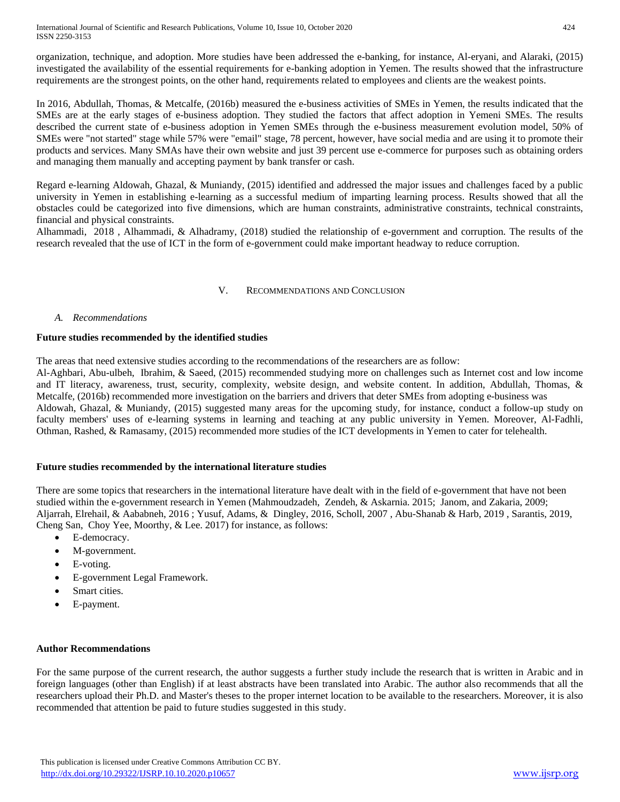International Journal of Scientific and Research Publications, Volume 10, Issue 10, October 2020 424 ISSN 2250-3153

organization, technique, and adoption. More studies have been addressed the e-banking, for instance, Al-eryani, and Alaraki, (2015) investigated the availability of the essential requirements for e-banking adoption in Yemen. The results showed that the infrastructure requirements are the strongest points, on the other hand, requirements related to employees and clients are the weakest points.

In 2016, Abdullah, Thomas, & Metcalfe, (2016b) measured the e-business activities of SMEs in Yemen, the results indicated that the SMEs are at the early stages of e-business adoption. They studied the factors that affect adoption in Yemeni SMEs. The results described the current state of e-business adoption in Yemen SMEs through the e-business measurement evolution model, 50% of SMEs were "not started" stage while 57% were "email" stage, 78 percent, however, have social media and are using it to promote their products and services. Many SMAs have their own website and just 39 percent use e-commerce for purposes such as obtaining orders and managing them manually and accepting payment by bank transfer or cash.

Regard e-learning Aldowah, Ghazal, & Muniandy, (2015) identified and addressed the major issues and challenges faced by a public university in Yemen in establishing e-learning as a successful medium of imparting learning process. Results showed that all the obstacles could be categorized into five dimensions, which are human constraints, administrative constraints, technical constraints, financial and physical constraints.

Alhammadi, 2018 , Alhammadi, & Alhadramy, (2018) studied the relationship of e-government and corruption. The results of the research revealed that the use of ICT in the form of e-government could make important headway to reduce corruption.

## V. RECOMMENDATIONS AND CONCLUSION

## *A. Recommendations*

## **Future studies recommended by the identified studies**

The areas that need extensive studies according to the recommendations of the researchers are as follow:

Al-Aghbari, Abu-ulbeh, Ibrahim, & Saeed, (2015) recommended studying more on challenges such as Internet cost and low income and IT literacy, awareness, trust, security, complexity, website design, and website content. In addition, Abdullah, Thomas, & Metcalfe, (2016b) recommended more investigation on the barriers and drivers that deter SMEs from adopting e-business was Aldowah, Ghazal, & Muniandy, (2015) suggested many areas for the upcoming study, for instance, conduct a follow-up study on faculty members' uses of e-learning systems in learning and teaching at any public university in Yemen. Moreover, Al-Fadhli, Othman, Rashed, & Ramasamy, (2015) recommended more studies of the ICT developments in Yemen to cater for telehealth.

#### **Future studies recommended by the international literature studies**

There are some topics that researchers in the international literature have dealt with in the field of e-government that have not been studied within the e-government research in Yemen (Mahmoudzadeh, Zendeh, & Askarnia. 2015; Janom, and Zakaria, 2009; Aljarrah, Elrehail, & Aababneh, 2016 ; Yusuf, Adams, & Dingley, 2016, Scholl, 2007 , Abu-Shanab & Harb, 2019 , Sarantis, 2019, Cheng San, Choy Yee, Moorthy, & Lee. 2017) for instance, as follows:

- E-democracy.
- M-government.
- E-voting.
- E-government Legal Framework.
- Smart cities.
- E-payment.

#### **Author Recommendations**

For the same purpose of the current research, the author suggests a further study include the research that is written in Arabic and in foreign languages (other than English) if at least abstracts have been translated into Arabic. The author also recommends that all the researchers upload their Ph.D. and Master's theses to the proper internet location to be available to the researchers. Moreover, it is also recommended that attention be paid to future studies suggested in this study.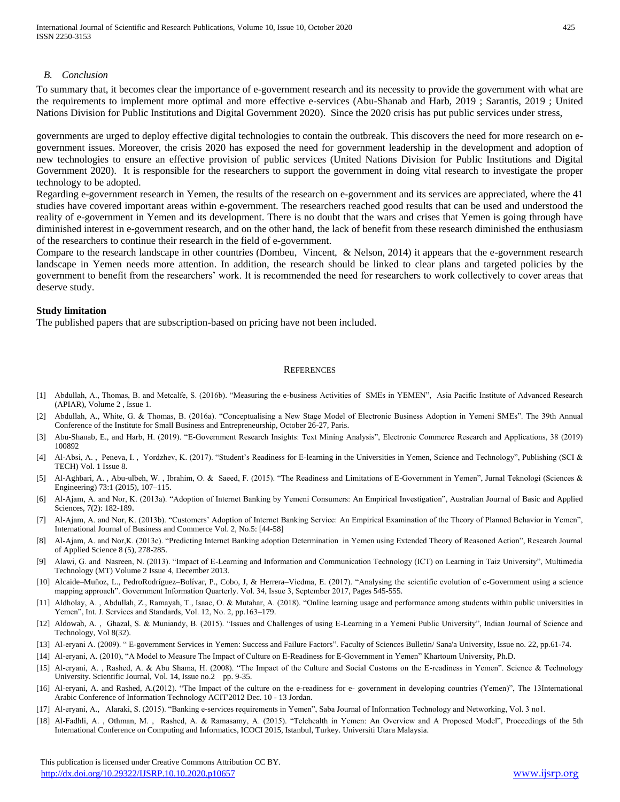#### *B. Conclusion*

To summary that, it becomes clear the importance of e-government research and its necessity to provide the government with what are the requirements to implement more optimal and more effective e-services (Abu-Shanab and Harb, 2019 ; Sarantis, 2019 ; United Nations Division for Public Institutions and Digital Government 2020). Since the 2020 crisis has put public services under stress,

governments are urged to deploy effective digital technologies to contain the outbreak. This discovers the need for more research on egovernment issues. Moreover, the crisis 2020 has exposed the need for government leadership in the development and adoption of new technologies to ensure an effective provision of public services (United Nations Division for Public Institutions and Digital Government 2020). It is responsible for the researchers to support the government in doing vital research to investigate the proper technology to be adopted.

Regarding e-government research in Yemen, the results of the research on e-government and its services are appreciated, where the 41 studies have covered important areas within e-government. The researchers reached good results that can be used and understood the reality of e-government in Yemen and its development. There is no doubt that the wars and crises that Yemen is going through have diminished interest in e-government research, and on the other hand, the lack of benefit from these research diminished the enthusiasm of the researchers to continue their research in the field of e-government.

Compare to the research landscape in other countries (Dombeu, Vincent, & Nelson, 2014) it appears that the e-government research landscape in Yemen needs more attention. In addition, the research should be linked to clear plans and targeted policies by the government to benefit from the researchers' work. It is recommended the need for researchers to work collectively to cover areas that deserve study.

## **Study limitation**

The published papers that are subscription-based on pricing have not been included.

#### **REFERENCES**

- [1] Abdullah, A., Thomas, B. and Metcalfe, S. (2016b). "Measuring the e-business Activities of SMEs in YEMEN", Asia Pacific Institute of Advanced Research (APIAR), Volume 2 , Issue 1.
- [2] Abdullah, A., White, G. & Thomas, B. (2016a). "Conceptualising a New Stage Model of Electronic Business Adoption in Yemeni SMEs". The 39th Annual Conference of the Institute for Small Business and Entrepreneurship, October 26-27, Paris.
- [3] Abu-Shanab, E., and Harb, H. (2019). "E-Government Research Insights: Text Mining Analysis", Electronic Commerce Research and Applications, 38 (2019) 100892
- [4] Al-Absi, A. , Peneva, I. , Yordzhev, K. (2017). "Student's Readiness for E-learning in the Universities in Yemen, Science and Technology", Publishing (SCI & TECH) Vol. 1 Issue 8.
- [5] Al-Aghbari, A. , Abu-ulbeh, W. , Ibrahim, O. & Saeed, F. (2015). "The Readiness and Limitations of E-Government in Yemen", Jurnal Teknologi (Sciences & Engineering) 73:1 (2015), 107–115.
- [6] Al-Ajam, A. and Nor, K. (2013a). "Adoption of Internet Banking by Yemeni Consumers: An Empirical Investigation", Australian Journal of Basic and Applied Sciences, 7(2): 182-189.
- [7] Al-Ajam, A. and Nor, K. (2013b). "Customers' Adoption of Internet Banking Service: An Empirical Examination of the Theory of Planned Behavior in Yemen", International Journal of Business and Commerce Vol. 2, No.5: [44-58]
- [8] Al-Ajam, A. and Nor,K. (2013c). "Predicting Internet Banking adoption Determination in Yemen using Extended Theory of Reasoned Action", Research Journal of Applied Science 8 (5), 278-285.
- [9] Alawi, G. and Nasreen, N. (2013). "Impact of E-Learning and Information and Communication Technology (ICT) on Learning in Taiz University", Multimedia Technology (MT) Volume 2 Issue 4, December 2013.
- [10] Alcaide–Muñoz, L., PedroRodríguez–Bolívar, P., Cobo, J, & Herrera–Viedma, E. (2017). "Analysing the scientific evolution of e-Government using a science mapping approach". Government Information Quarterly. Vol. 34, Issue 3, September 2017, Pages 545-555.
- [11] Aldholay, A., Abdullah, Z., Ramayah, T., Isaac, O. & Mutahar, A. (2018). "Online learning usage and performance among students within public universities in Yemen", Int. J. Services and Standards, Vol. 12, No. 2, pp.163–179.
- [12] Aldowah, A. , Ghazal, S. & Muniandy, B. (2015). "Issues and Challenges of using E-Learning in a Yemeni Public University", Indian Journal of Science and Technology, Vol 8(32).
- [13] Al-eryani A. (2009). " E-government Services in Yemen: Success and Failure Factors". Faculty of Sciences Bulletin/ Sana'a University, Issue no. 22, pp.61-74.
- [14] Al-eryani, A. (2010), "A Model to Measure The Impact of Culture on E-Readiness for E-Government in Yemen" Khartoum University, Ph.D.
- [15] Al-eryani, A. , Rashed, A. & Abu Shama, H. (2008). "The Impact of the Culture and Social Customs on the E-readiness in Yemen". Science & Technology University. Scientific Journal, Vol. 14, Issue no.2 pp. 9-35.
- [16] Al-eryani, A. and Rashed, A.(2012). "The Impact of the culture on the e-readiness for e- government in developing countries (Yemen)", The 13International Arabic Conference of Information Technology ACIT'2012 Dec. 10 - 13 Jordan.
- [17] Al-eryani, A., Alaraki, S. (2015). "Banking e-services requirements in Yemen", Saba Journal of Information Technology and Networking, Vol. 3 no1.
- [18] Al-Fadhli, A. , Othman, M. , Rashed, A. & Ramasamy, A. (2015). "Telehealth in Yemen: An Overview and A Proposed Model", Proceedings of the 5th International Conference on Computing and Informatics, ICOCI 2015, Istanbul, Turkey. Universiti Utara Malaysia.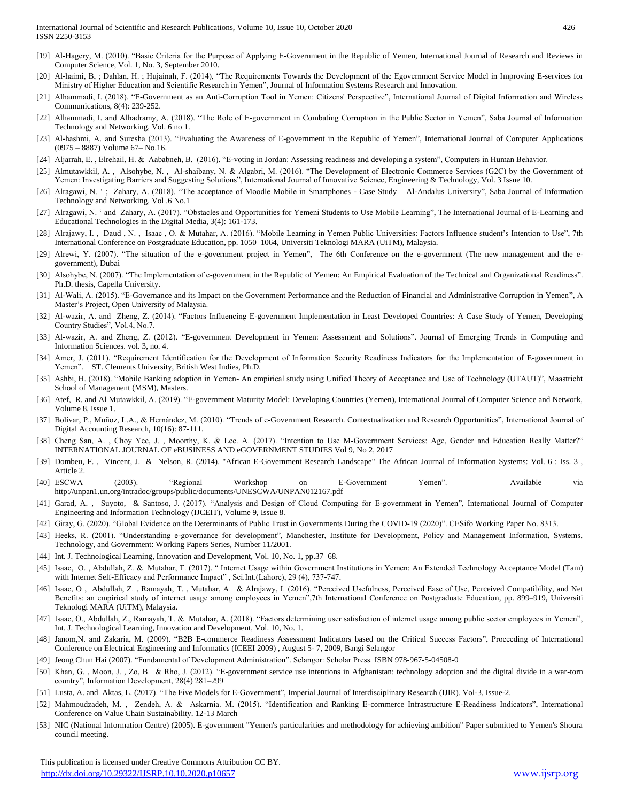- [19] Al-Hagery, M. (2010). "Basic Criteria for the Purpose of Applying E-Government in the Republic of Yemen, International Journal of Research and Reviews in Computer Science, Vol. 1, No. 3, September 2010.
- [20] Al-haimi, B, ; Dahlan, H. ; Hujainah, F. (2014), "The Requirements Towards the Development of the Egovernment Service Model in Improving E-services for Ministry of Higher Education and Scientific Research in Yemen", Journal of Information Systems Research and Innovation.
- [21] Alhammadi, I. (2018). "E-Government as an Anti-Corruption Tool in Yemen: Citizens' Perspective", International Journal of Digital Information and Wireless Communications, 8(4): 239-252.
- [22] Alhammadi, I. and Alhadramy, A. (2018). "The Role of E-government in Combating Corruption in the Public Sector in Yemen", Saba Journal of Information Technology and Networking, Vol. 6 no 1.
- [23] Al-hashmi, A. and Suresha (2013). "Evaluating the Awareness of E-government in the Republic of Yemen", International Journal of Computer Applications (0975 – 8887) Volume 67– No.16.
- [24] Aljarrah, E. , Elrehail, H. & Aababneh, B. (2016). "E-voting in Jordan: Assessing readiness and developing a system", Computers in Human Behavior.
- [25] Almutawkkil, A., Alsohybe, N., Al-shaibany, N. & Algabri, M. (2016). "The Development of Electronic Commerce Services (G2C) by the Government of Yemen: Investigating Barriers and Suggesting Solutions", International Journal of Innovative Science, Engineering & Technology, Vol. 3 Issue 10.
- [26] Alragawi, N. ' ; Zahary, A. (2018). "The acceptance of Moodle Mobile in Smartphones Case Study Al-Andalus University", Saba Journal of Information Technology and Networking, Vol .6 No.1
- [27] Alragawi, N. ' and Zahary, A. (2017). "Obstacles and Opportunities for Yemeni Students to Use Mobile Learning", The International Journal of E-Learning and Educational Technologies in the Digital Media, 3(4): 161-173.
- [28] Alrajawy, I. , Daud , N. , Isaac , O. & Mutahar, A. (2016). "Mobile Learning in Yemen Public Universities: Factors Influence student's Intention to Use", 7th International Conference on Postgraduate Education, pp. 1050–1064, Universiti Teknologi MARA (UiTM), Malaysia.
- [29] Alrewi, Y. (2007). "The situation of the e-government project in Yemen", The 6th Conference on the e-government (The new management and the egovernment), Dubai
- [30] Alsohybe, N. (2007). "The Implementation of e-government in the Republic of Yemen: An Empirical Evaluation of the Technical and Organizational Readiness". Ph.D. thesis, Capella University.
- [31] Al-Wali, A. (2015). "E-Governance and its Impact on the Government Performance and the Reduction of Financial and Administrative Corruption in Yemen", A Master's Project, Open University of Malaysia.
- [32] Al-wazir, A. and Zheng, Z. (2014). "Factors Influencing E-government Implementation in Least Developed Countries: A Case Study of Yemen, Developing Country Studies", Vol.4, No.7.
- [33] Al-wazir, A. and Zheng, Z. (2012). "E-government Development in Yemen: Assessment and Solutions". Journal of Emerging Trends in Computing and Information Sciences. vol. 3, no. 4.
- [34] Amer, J. (2011). "Requirement Identification for the Development of Information Security Readiness Indicators for the Implementation of E-government in Yemen". ST. Clements University, British West Indies, Ph.D.
- [35] Ashbi, H. (2018). "Mobile Banking adoption in Yemen- An empirical study using Unified Theory of Acceptance and Use of Technology (UTAUT)", Maastricht School of Management (MSM), Masters.
- [36] Atef, R. and Al Mutawkkil, A. (2019). "E-government Maturity Model: Developing Countries (Yemen), International Journal of Computer Science and Network, Volume 8, Issue 1.
- [37] Bolívar, P., Muñoz, L.A., & Hernández, M. (2010). "Trends of e-Government Research. Contextualization and Research Opportunities", International Journal of Digital Accounting Research, 10(16): 87-111.
- [38] Cheng San, A. , Choy Yee, J. , Moorthy, K. & Lee. A. (2017). "Intention to Use M-Government Services: Age, Gender and Education Really Matter?" INTERNATIONAL JOURNAL OF eBUSINESS AND eGOVERNMENT STUDIES Vol 9, No 2, 2017
- [39] Dombeu, F. , Vincent, J. & Nelson, R. (2014). "African E-Government Research Landscape" The African Journal of Information Systems: Vol. 6 : Iss. 3 , Article 2.
- [40] ESCWA (2003). "Regional Workshop on E-Government Yemen". Available via <http://unpan1.un.org/intradoc/groups/public/documents/UNESCWA/UNPAN012167.pdf>
- [41] Garad, A. , Suyoto, & Santoso, J. (2017). "Analysis and Design of Cloud Computing for E-government in Yemen", International Journal of Computer Engineering and Information Technology (IJCEIT), Volume 9, Issue 8.
- [42] Giray, G. (2020). "Global Evidence on the Determinants of Public Trust in Governments During the COVID-19 (2020)". CESifo Working Paper No. 8313.
- [43] Heeks, R. (2001). "Understanding e-governance for development", Manchester, Institute for Development, Policy and Management Information, Systems, Technology, and Government: Working Papers Series, Number 11/2001.
- [44] Int. J. Technological Learning, Innovation and Development, Vol. 10, No. 1, pp.37–68.
- [45] Isaac, O. , Abdullah, Z. & Mutahar, T. (2017). " Internet Usage within Government Institutions in Yemen: An Extended Technology Acceptance Model (Tam) with Internet Self-Efficacy and Performance Impact" , Sci.Int.(Lahore), 29 (4), 737-747.
- [46] Isaac, O , Abdullah, Z. , Ramayah, T. , Mutahar, A. & Alrajawy, I. (2016). "Perceived Usefulness, Perceived Ease of Use, Perceived Compatibility, and Net Benefits: an empirical study of internet usage among employees in Yemen",7th International Conference on Postgraduate Education, pp. 899–919, Universiti Teknologi MARA (UiTM), Malaysia.
- [47] Isaac, O., Abdullah, Z., Ramayah, T. & Mutahar, A. (2018). "Factors determining user satisfaction of internet usage among public sector employees in Yemen", Int. J. Technological Learning, Innovation and Development, Vol. 10, No. 1.
- [48] Janom,N. and Zakaria, M. (2009). "B2B E-commerce Readiness Assessment Indicators based on the Critical Success Factors", Proceeding of International Conference on Electrical Engineering and Informatics (ICEEI 2009) , August 5- 7, 2009, Bangi Selangor
- [49] Jeong Chun Hai (2007). "Fundamental of Development Administration". Selangor: Scholar Press. ISBN 978-967-5-04508-0
- [50] Khan, G. , Moon, J. , Zo, B. & Rho, J. (2012). "E-government service use intentions in Afghanistan: technology adoption and the digital divide in a war-torn country", Information Development, 28(4) 281–299
- [51] Lusta, A. and Aktas, L. (2017). "The Five Models for E-Government", Imperial Journal of Interdisciplinary Research (IJIR). Vol-3, Issue-2.
- [52] Mahmoudzadeh, M. , Zendeh, A. & Askarnia. M. (2015). "Identification and Ranking E-commerce Infrastructure E-Readiness Indicators", International Conference on Value Chain Sustainability. 12-13 March
- [53] NIC (National Information Centre) (2005). E-government "Yemen's particularities and methodology for achieving ambition" Paper submitted to Yemen's Shoura council meeting.